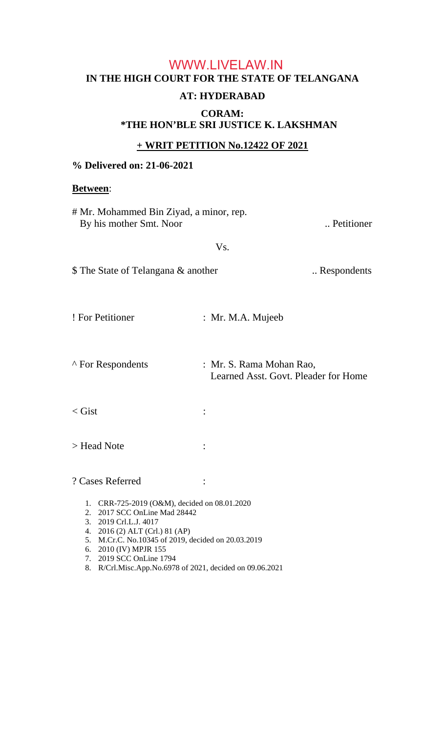# **IN THE HIGH COURT FOR THE STATE OF TELANGANA AT: HYDERABAD**  WWW.LIVELAW.IN

### **CORAM: \*THE HON'BLE SRI JUSTICE K. LAKSHMAN**

### **+ WRIT PETITION No.12422 OF 2021**

### **% Delivered on: 21-06-2021**

#### **Between**:

| # Mr. Mohammed Bin Ziyad, a minor, rep.<br>By his mother Smt. Noor                                                                                                                                                                                                                                               |                                                                  | Petitioner  |
|------------------------------------------------------------------------------------------------------------------------------------------------------------------------------------------------------------------------------------------------------------------------------------------------------------------|------------------------------------------------------------------|-------------|
| Vs.                                                                                                                                                                                                                                                                                                              |                                                                  |             |
| \$ The State of Telangana & another                                                                                                                                                                                                                                                                              |                                                                  | Respondents |
| ! For Petitioner                                                                                                                                                                                                                                                                                                 | : Mr. M.A. Mujeeb                                                |             |
| ^ For Respondents                                                                                                                                                                                                                                                                                                | : Mr. S. Rama Mohan Rao,<br>Learned Asst. Govt. Pleader for Home |             |
| $\langle$ Gist                                                                                                                                                                                                                                                                                                   |                                                                  |             |
| > Head Note                                                                                                                                                                                                                                                                                                      |                                                                  |             |
| ? Cases Referred                                                                                                                                                                                                                                                                                                 |                                                                  |             |
| 1. CRR-725-2019 (O&M), decided on 08.01.2020<br>2. 2017 SCC OnLine Mad 28442<br>3. 2019 Crl.L.J. 4017<br>4. 2016 (2) ALT (Crl.) 81 (AP)<br>5. M.Cr.C. No.10345 of 2019, decided on 20.03.2019<br>6. 2010 (IV) MPJR 155<br>7. 2019 SCC OnLine 1794<br>R/Crl.Misc.App.No.6978 of 2021, decided on 09.06.2021<br>8. |                                                                  |             |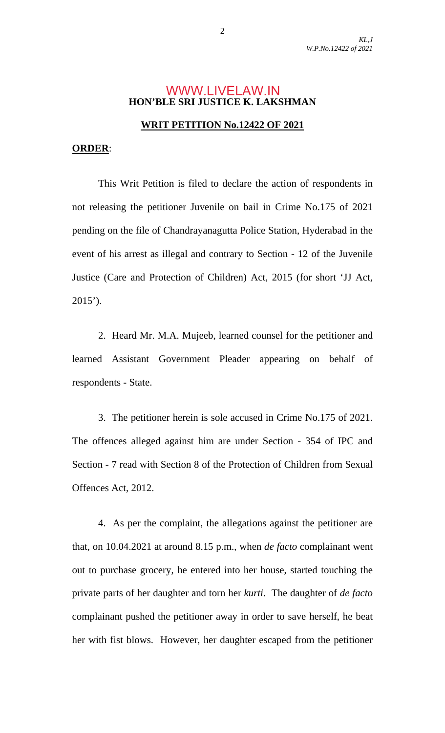#### **HON'BLE SRI JUSTICE K. LAKSHMAN** WWW.LIVELAW.IN

#### **WRIT PETITION No.12422 OF 2021**

#### **ORDER**:

 This Writ Petition is filed to declare the action of respondents in not releasing the petitioner Juvenile on bail in Crime No.175 of 2021 pending on the file of Chandrayanagutta Police Station, Hyderabad in the event of his arrest as illegal and contrary to Section - 12 of the Juvenile Justice (Care and Protection of Children) Act, 2015 (for short 'JJ Act, 2015').

 2. Heard Mr. M.A. Mujeeb, learned counsel for the petitioner and learned Assistant Government Pleader appearing on behalf of respondents - State.

 3. The petitioner herein is sole accused in Crime No.175 of 2021. The offences alleged against him are under Section - 354 of IPC and Section - 7 read with Section 8 of the Protection of Children from Sexual Offences Act, 2012.

 4. As per the complaint, the allegations against the petitioner are that, on 10.04.2021 at around 8.15 p.m., when *de facto* complainant went out to purchase grocery, he entered into her house, started touching the private parts of her daughter and torn her *kurti*. The daughter of *de facto*  complainant pushed the petitioner away in order to save herself, he beat her with fist blows. However, her daughter escaped from the petitioner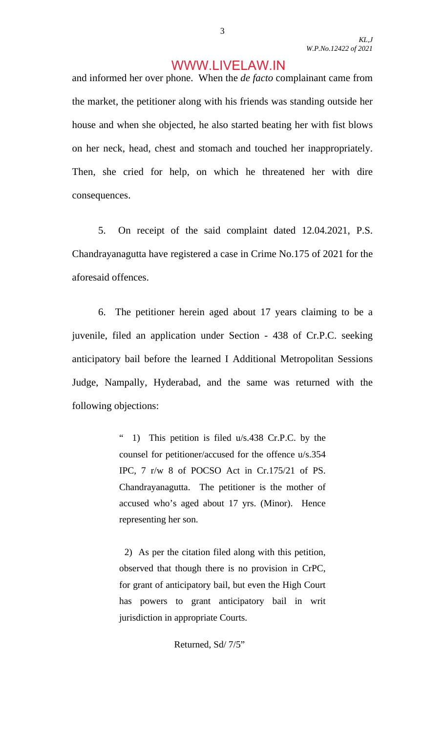and informed her over phone. When the *de facto* complainant came from the market, the petitioner along with his friends was standing outside her house and when she objected, he also started beating her with fist blows on her neck, head, chest and stomach and touched her inappropriately. Then, she cried for help, on which he threatened her with dire consequences.

 5. On receipt of the said complaint dated 12.04.2021, P.S. Chandrayanagutta have registered a case in Crime No.175 of 2021 for the aforesaid offences.

 6. The petitioner herein aged about 17 years claiming to be a juvenile, filed an application under Section - 438 of Cr.P.C. seeking anticipatory bail before the learned I Additional Metropolitan Sessions Judge, Nampally, Hyderabad, and the same was returned with the following objections:

> " 1) This petition is filed u/s.438 Cr.P.C. by the counsel for petitioner/accused for the offence u/s.354 IPC, 7 r/w 8 of POCSO Act in Cr.175/21 of PS. Chandrayanagutta. The petitioner is the mother of accused who's aged about 17 yrs. (Minor). Hence representing her son.

> 2) As per the citation filed along with this petition, observed that though there is no provision in CrPC, for grant of anticipatory bail, but even the High Court has powers to grant anticipatory bail in writ jurisdiction in appropriate Courts.

Returned, Sd/ 7/5"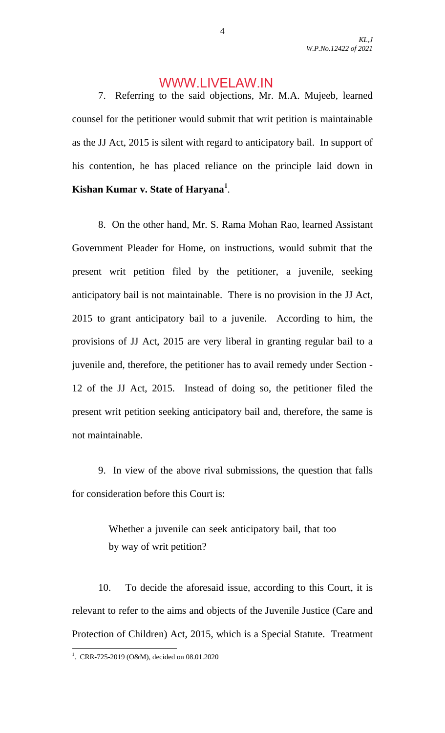*KL,J W.P.No.12422 of 2021* 

### WWW.LIVELAW.IN

 7. Referring to the said objections, Mr. M.A. Mujeeb, learned counsel for the petitioner would submit that writ petition is maintainable as the JJ Act, 2015 is silent with regard to anticipatory bail. In support of his contention, he has placed reliance on the principle laid down in **Kishan Kumar v. State of Haryana<sup>1</sup>** .

 8. On the other hand, Mr. S. Rama Mohan Rao, learned Assistant Government Pleader for Home, on instructions, would submit that the present writ petition filed by the petitioner, a juvenile, seeking anticipatory bail is not maintainable. There is no provision in the JJ Act, 2015 to grant anticipatory bail to a juvenile. According to him, the provisions of JJ Act, 2015 are very liberal in granting regular bail to a juvenile and, therefore, the petitioner has to avail remedy under Section - 12 of the JJ Act, 2015. Instead of doing so, the petitioner filed the present writ petition seeking anticipatory bail and, therefore, the same is not maintainable.

 9. In view of the above rival submissions, the question that falls for consideration before this Court is:

> Whether a juvenile can seek anticipatory bail, that too by way of writ petition?

 10. To decide the aforesaid issue, according to this Court, it is relevant to refer to the aims and objects of the Juvenile Justice (Care and Protection of Children) Act, 2015, which is a Special Statute. Treatment

<u>.</u>

<sup>&</sup>lt;sup>1</sup>. CRR-725-2019 (O&M), decided on 08.01.2020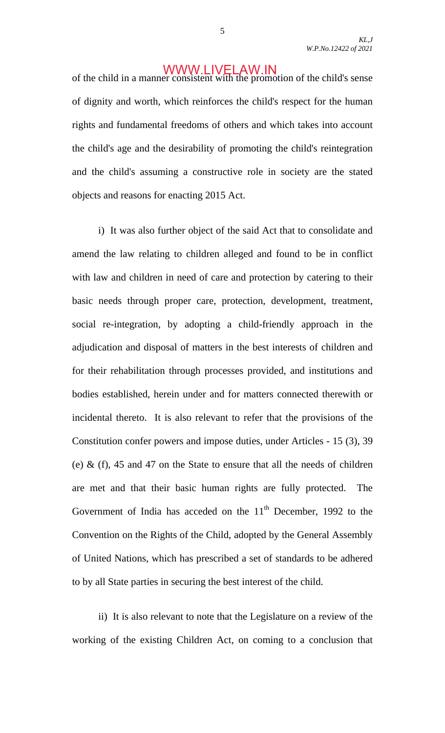of the child in a manner consistent with the promotion of the child's sense of dignity and worth, which reinforces the child's respect for the human rights and fundamental freedoms of others and which takes into account the child's age and the desirability of promoting the child's reintegration and the child's assuming a constructive role in society are the stated objects and reasons for enacting 2015 Act.

 i) It was also further object of the said Act that to consolidate and amend the law relating to children alleged and found to be in conflict with law and children in need of care and protection by catering to their basic needs through proper care, protection, development, treatment, social re-integration, by adopting a child-friendly approach in the adjudication and disposal of matters in the best interests of children and for their rehabilitation through processes provided, and institutions and bodies established, herein under and for matters connected therewith or incidental thereto. It is also relevant to refer that the provisions of the Constitution confer powers and impose duties, under Articles - 15 (3), 39 (e)  $\&$  (f), 45 and 47 on the State to ensure that all the needs of children are met and that their basic human rights are fully protected. The Government of India has acceded on the  $11<sup>th</sup>$  December, 1992 to the Convention on the Rights of the Child, adopted by the General Assembly of United Nations, which has prescribed a set of standards to be adhered to by all State parties in securing the best interest of the child.

 ii) It is also relevant to note that the Legislature on a review of the working of the existing Children Act, on coming to a conclusion that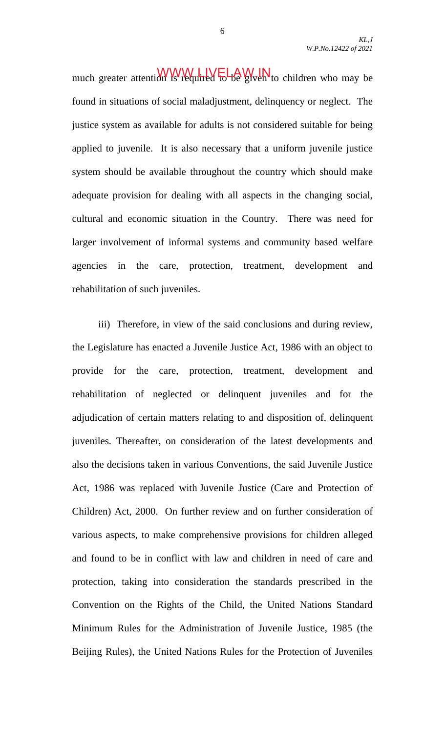*KL,J W.P.No.12422 of 2021* 

much greater attention is required to be given to children who may be found in situations of social maladjustment, delinquency or neglect. The justice system as available for adults is not considered suitable for being applied to juvenile. It is also necessary that a uniform juvenile justice system should be available throughout the country which should make adequate provision for dealing with all aspects in the changing social, cultural and economic situation in the Country. There was need for larger involvement of informal systems and community based welfare agencies in the care, protection, treatment, development and rehabilitation of such juveniles.

 iii) Therefore, in view of the said conclusions and during review, the Legislature has enacted a Juvenile Justice Act, 1986 with an object to provide for the care, protection, treatment, development and rehabilitation of neglected or delinquent juveniles and for the adjudication of certain matters relating to and disposition of, delinquent juveniles. Thereafter, on consideration of the latest developments and also the decisions taken in various Conventions, the said Juvenile Justice Act, 1986 was replaced with Juvenile Justice (Care and Protection of Children) Act, 2000. On further review and on further consideration of various aspects, to make comprehensive provisions for children alleged and found to be in conflict with law and children in need of care and protection, taking into consideration the standards prescribed in the Convention on the Rights of the Child, the United Nations Standard Minimum Rules for the Administration of Juvenile Justice, 1985 (the Beijing Rules), the United Nations Rules for the Protection of Juveniles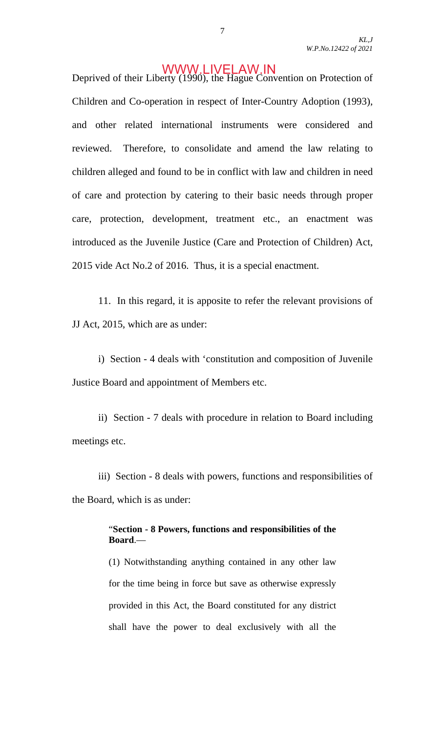Deprived of their Liberty (1990), the Hague Convention on Protection of Children and Co-operation in respect of Inter-Country Adoption (1993), and other related international instruments were considered and reviewed. Therefore, to consolidate and amend the law relating to children alleged and found to be in conflict with law and children in need of care and protection by catering to their basic needs through proper care, protection, development, treatment etc., an enactment was introduced as the Juvenile Justice (Care and Protection of Children) Act, 2015 vide Act No.2 of 2016. Thus, it is a special enactment.

 11. In this regard, it is apposite to refer the relevant provisions of JJ Act, 2015, which are as under:

 i) Section - 4 deals with 'constitution and composition of Juvenile Justice Board and appointment of Members etc.

 ii) Section - 7 deals with procedure in relation to Board including meetings etc.

 iii) Section - 8 deals with powers, functions and responsibilities of the Board, which is as under:

#### "**Section - 8 Powers, functions and responsibilities of the Board**.—

(1) Notwithstanding anything contained in any other law for the time being in force but save as otherwise expressly provided in this Act, the Board constituted for any district shall have the power to deal exclusively with all the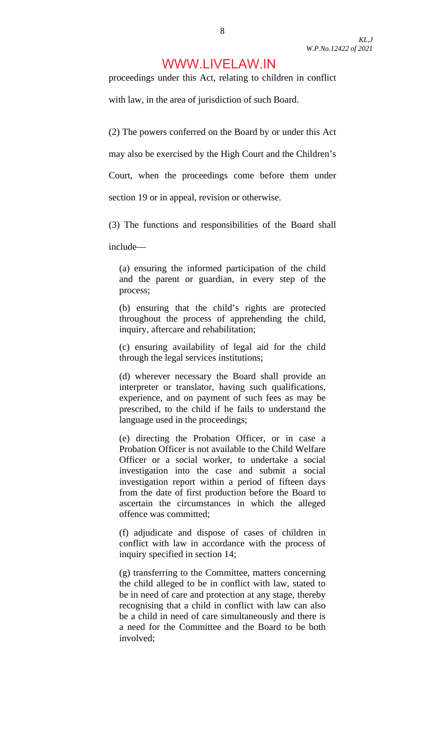proceedings under this Act, relating to children in conflict

with law, in the area of jurisdiction of such Board.

(2) The powers conferred on the Board by or under this Act

may also be exercised by the High Court and the Children's

Court, when the proceedings come before them under

section 19 or in appeal, revision or otherwise.

(3) The functions and responsibilities of the Board shall

include—

(a) ensuring the informed participation of the child and the parent or guardian, in every step of the process;

(b) ensuring that the child's rights are protected throughout the process of apprehending the child, inquiry, aftercare and rehabilitation;

(c) ensuring availability of legal aid for the child through the legal services institutions;

(d) wherever necessary the Board shall provide an interpreter or translator, having such qualifications, experience, and on payment of such fees as may be prescribed, to the child if he fails to understand the language used in the proceedings;

(e) directing the Probation Officer, or in case a Probation Officer is not available to the Child Welfare Officer or a social worker, to undertake a social investigation into the case and submit a social investigation report within a period of fifteen days from the date of first production before the Board to ascertain the circumstances in which the alleged offence was committed;

(f) adjudicate and dispose of cases of children in conflict with law in accordance with the process of inquiry specified in section 14;

(g) transferring to the Committee, matters concerning the child alleged to be in conflict with law, stated to be in need of care and protection at any stage, thereby recognising that a child in conflict with law can also be a child in need of care simultaneously and there is a need for the Committee and the Board to be both involved;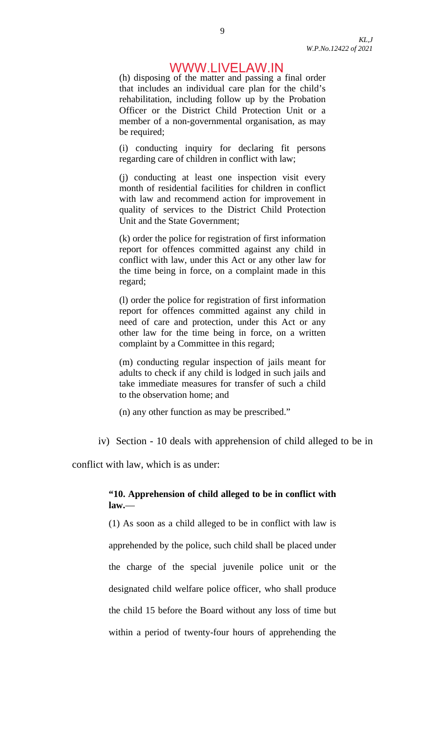(h) disposing of the matter and passing a final order that includes an individual care plan for the child's rehabilitation, including follow up by the Probation Officer or the District Child Protection Unit or a member of a non-governmental organisation, as may be required;

(i) conducting inquiry for declaring fit persons regarding care of children in conflict with law;

(j) conducting at least one inspection visit every month of residential facilities for children in conflict with law and recommend action for improvement in quality of services to the District Child Protection Unit and the State Government;

(k) order the police for registration of first information report for offences committed against any child in conflict with law, under this Act or any other law for the time being in force, on a complaint made in this regard;

(l) order the police for registration of first information report for offences committed against any child in need of care and protection, under this Act or any other law for the time being in force, on a written complaint by a Committee in this regard;

(m) conducting regular inspection of jails meant for adults to check if any child is lodged in such jails and take immediate measures for transfer of such a child to the observation home; and

(n) any other function as may be prescribed."

iv) Section - 10 deals with apprehension of child alleged to be in

conflict with law, which is as under:

#### **"10. Apprehension of child alleged to be in conflict with law.**—

(1) As soon as a child alleged to be in conflict with law is apprehended by the police, such child shall be placed under the charge of the special juvenile police unit or the designated child welfare police officer, who shall produce the child 15 before the Board without any loss of time but within a period of twenty-four hours of apprehending the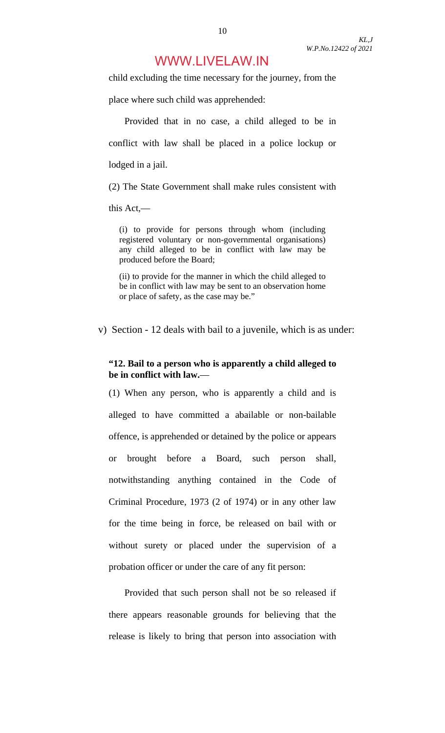child excluding the time necessary for the journey, from the

place where such child was apprehended:

 Provided that in no case, a child alleged to be in conflict with law shall be placed in a police lockup or lodged in a jail.

(2) The State Government shall make rules consistent with

this Act,—

(i) to provide for persons through whom (including registered voluntary or non-governmental organisations) any child alleged to be in conflict with law may be produced before the Board;

(ii) to provide for the manner in which the child alleged to be in conflict with law may be sent to an observation home or place of safety, as the case may be."

v) Section - 12 deals with bail to a juvenile, which is as under:

#### **"12. Bail to a person who is apparently a child alleged to be in conflict with law.**—

(1) When any person, who is apparently a child and is alleged to have committed a abailable or non-bailable offence, is apprehended or detained by the police or appears or brought before a Board, such person shall, notwithstanding anything contained in the Code of Criminal Procedure, 1973 (2 of 1974) or in any other law for the time being in force, be released on bail with or without surety or placed under the supervision of a probation officer or under the care of any fit person:

 Provided that such person shall not be so released if there appears reasonable grounds for believing that the release is likely to bring that person into association with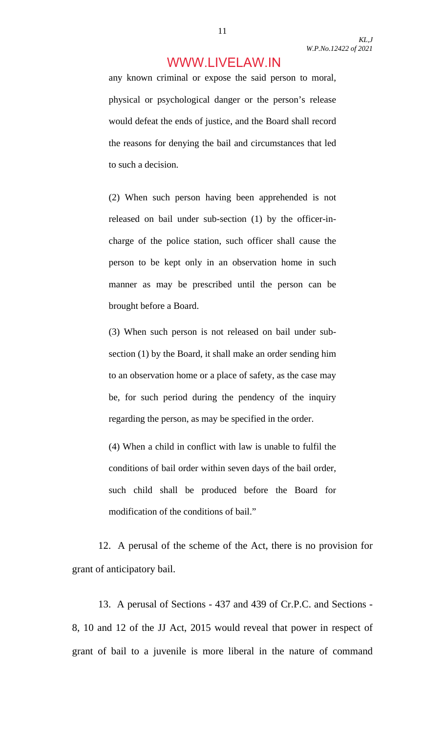any known criminal or expose the said person to moral, physical or psychological danger or the person's release would defeat the ends of justice, and the Board shall record the reasons for denying the bail and circumstances that led to such a decision.

(2) When such person having been apprehended is not released on bail under sub-section (1) by the officer-incharge of the police station, such officer shall cause the person to be kept only in an observation home in such manner as may be prescribed until the person can be brought before a Board.

(3) When such person is not released on bail under subsection (1) by the Board, it shall make an order sending him to an observation home or a place of safety, as the case may be, for such period during the pendency of the inquiry regarding the person, as may be specified in the order.

(4) When a child in conflict with law is unable to fulfil the conditions of bail order within seven days of the bail order, such child shall be produced before the Board for modification of the conditions of bail."

 12. A perusal of the scheme of the Act, there is no provision for grant of anticipatory bail.

 13. A perusal of Sections - 437 and 439 of Cr.P.C. and Sections - 8, 10 and 12 of the JJ Act, 2015 would reveal that power in respect of grant of bail to a juvenile is more liberal in the nature of command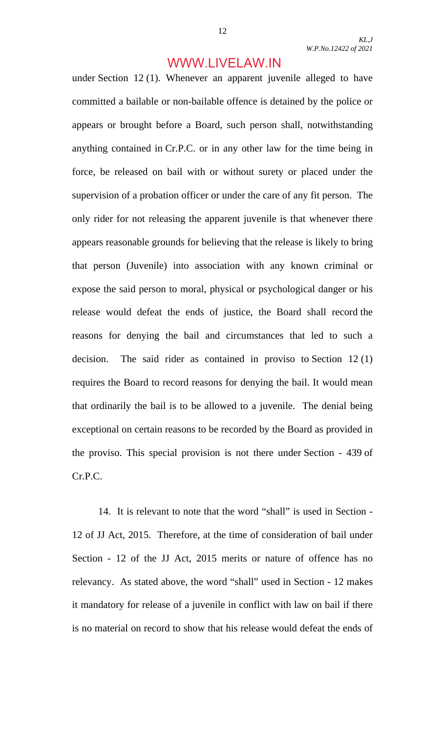under Section 12 (1). Whenever an apparent juvenile alleged to have committed a bailable or non-bailable offence is detained by the police or appears or brought before a Board, such person shall, notwithstanding anything contained in Cr.P.C. or in any other law for the time being in force, be released on bail with or without surety or placed under the supervision of a probation officer or under the care of any fit person. The only rider for not releasing the apparent juvenile is that whenever there appears reasonable grounds for believing that the release is likely to bring that person (Juvenile) into association with any known criminal or expose the said person to moral, physical or psychological danger or his release would defeat the ends of justice, the Board shall record the reasons for denying the bail and circumstances that led to such a decision. The said rider as contained in proviso to Section 12 (1) requires the Board to record reasons for denying the bail. It would mean that ordinarily the bail is to be allowed to a juvenile. The denial being exceptional on certain reasons to be recorded by the Board as provided in the proviso. This special provision is not there under Section - 439 of Cr.P.C.

 14. It is relevant to note that the word "shall" is used in Section - 12 of JJ Act, 2015. Therefore, at the time of consideration of bail under Section - 12 of the JJ Act, 2015 merits or nature of offence has no relevancy. As stated above, the word "shall" used in Section - 12 makes it mandatory for release of a juvenile in conflict with law on bail if there is no material on record to show that his release would defeat the ends of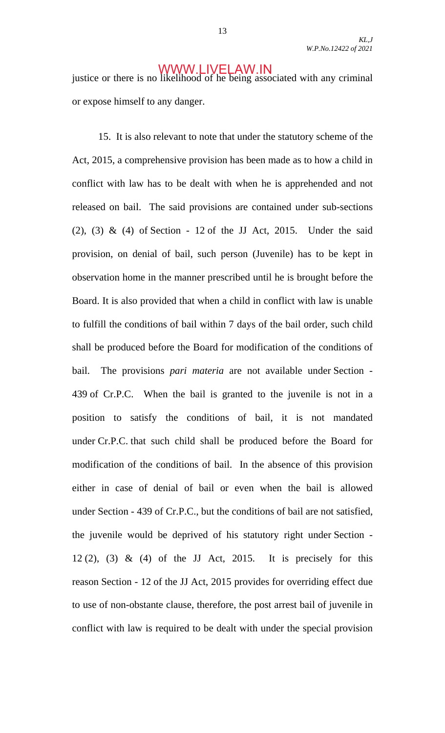justice or there is no likelihood of he being associated with any criminal or expose himself to any danger.

 15. It is also relevant to note that under the statutory scheme of the Act, 2015, a comprehensive provision has been made as to how a child in conflict with law has to be dealt with when he is apprehended and not released on bail. The said provisions are contained under sub-sections (2), (3) & (4) of Section - 12 of the JJ Act, 2015. Under the said provision, on denial of bail, such person (Juvenile) has to be kept in observation home in the manner prescribed until he is brought before the Board. It is also provided that when a child in conflict with law is unable to fulfill the conditions of bail within 7 days of the bail order, such child shall be produced before the Board for modification of the conditions of bail. The provisions *pari materia* are not available under Section - 439 of Cr.P.C. When the bail is granted to the juvenile is not in a position to satisfy the conditions of bail, it is not mandated under Cr.P.C. that such child shall be produced before the Board for modification of the conditions of bail. In the absence of this provision either in case of denial of bail or even when the bail is allowed under Section - 439 of Cr.P.C., but the conditions of bail are not satisfied, the juvenile would be deprived of his statutory right under Section - 12 (2), (3) & (4) of the JJ Act, 2015. It is precisely for this reason Section - 12 of the JJ Act, 2015 provides for overriding effect due to use of non-obstante clause, therefore, the post arrest bail of juvenile in conflict with law is required to be dealt with under the special provision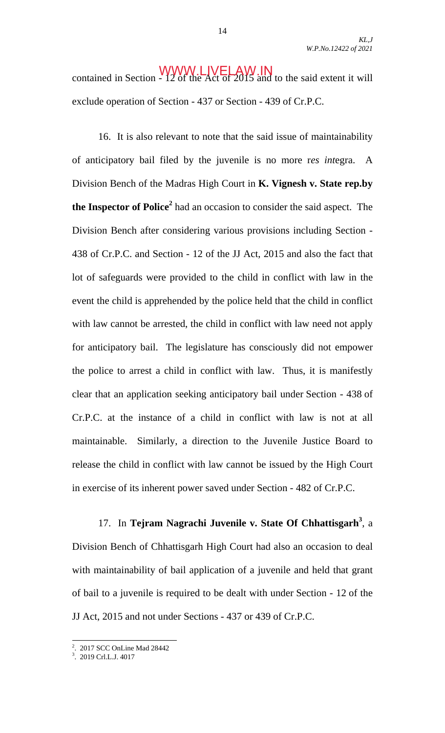**WWW.LIVELAWIN**<br>contained in Section - 12 of the Act of 2015 and to the said extent it will exclude operation of Section - 437 or Section - 439 of Cr.P.C.

 16. It is also relevant to note that the said issue of maintainability of anticipatory bail filed by the juvenile is no more r*es int*egra. A Division Bench of the Madras High Court in **K. Vignesh v. State rep.by the Inspector of Police<sup>2</sup>** had an occasion to consider the said aspect. The Division Bench after considering various provisions including Section - 438 of Cr.P.C. and Section - 12 of the JJ Act, 2015 and also the fact that lot of safeguards were provided to the child in conflict with law in the event the child is apprehended by the police held that the child in conflict with law cannot be arrested, the child in conflict with law need not apply for anticipatory bail. The legislature has consciously did not empower the police to arrest a child in conflict with law. Thus, it is manifestly clear that an application seeking anticipatory bail under Section - 438 of Cr.P.C. at the instance of a child in conflict with law is not at all maintainable. Similarly, a direction to the Juvenile Justice Board to release the child in conflict with law cannot be issued by the High Court in exercise of its inherent power saved under Section - 482 of Cr.P.C.

 17. In **Tejram Nagrachi Juvenile v. State Of Chhattisgarh<sup>3</sup>** , a Division Bench of Chhattisgarh High Court had also an occasion to deal with maintainability of bail application of a juvenile and held that grant of bail to a juvenile is required to be dealt with under Section - 12 of the JJ Act, 2015 and not under Sections - 437 or 439 of Cr.P.C.

 2 . 2017 SCC OnLine Mad 28442

<sup>3</sup> . 2019 Crl.L.J. 4017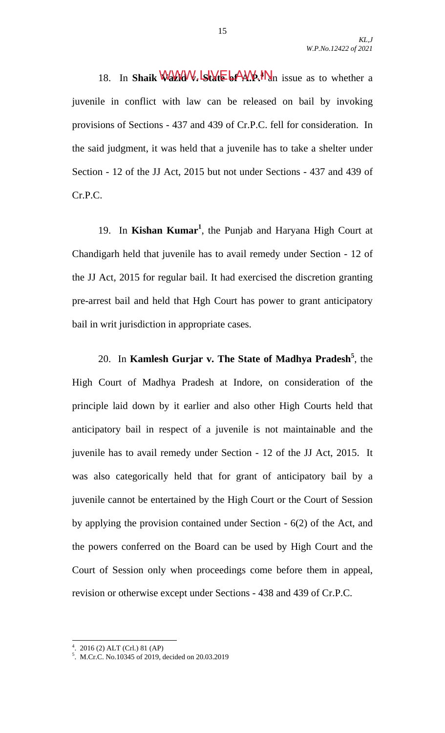18. In **Shaik WAYAV, State 6AV, Ma** issue as to whether a juvenile in conflict with law can be released on bail by invoking provisions of Sections - 437 and 439 of Cr.P.C. fell for consideration. In the said judgment, it was held that a juvenile has to take a shelter under Section - 12 of the JJ Act, 2015 but not under Sections - 437 and 439 of Cr.P.C.

19. In **Kishan Kumar<sup>1</sup>**, the Punjab and Haryana High Court at Chandigarh held that juvenile has to avail remedy under Section - 12 of the JJ Act, 2015 for regular bail. It had exercised the discretion granting pre-arrest bail and held that Hgh Court has power to grant anticipatory bail in writ jurisdiction in appropriate cases.

 20. In **Kamlesh Gurjar v. The State of Madhya Pradesh<sup>5</sup>** , the High Court of Madhya Pradesh at Indore, on consideration of the principle laid down by it earlier and also other High Courts held that anticipatory bail in respect of a juvenile is not maintainable and the juvenile has to avail remedy under Section - 12 of the JJ Act, 2015. It was also categorically held that for grant of anticipatory bail by a juvenile cannot be entertained by the High Court or the Court of Session by applying the provision contained under Section - 6(2) of the Act, and the powers conferred on the Board can be used by High Court and the Court of Session only when proceedings come before them in appeal, revision or otherwise except under Sections - 438 and 439 of Cr.P.C.

 4 . 2016 (2) ALT (Crl.) 81 (AP)

<sup>5</sup> . M.Cr.C. No.10345 of 2019, decided on 20.03.2019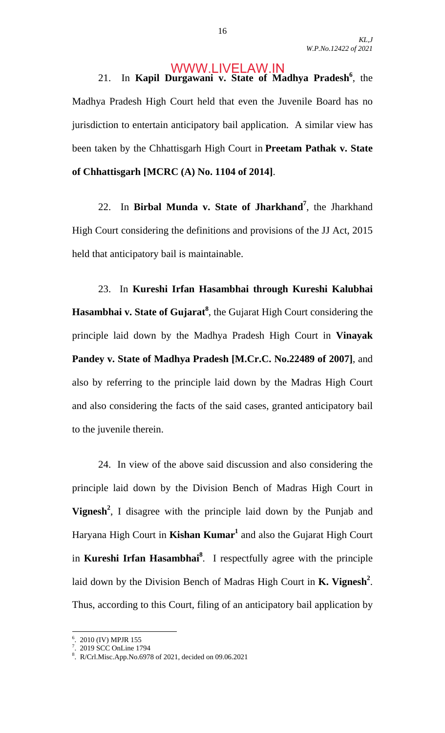21. In Kapil Durgawani v. State of Madhya Pradesh<sup>6</sup>, the Madhya Pradesh High Court held that even the Juvenile Board has no jurisdiction to entertain anticipatory bail application. A similar view has been taken by the Chhattisgarh High Court in **Preetam Pathak v. State of Chhattisgarh [MCRC (A) No. 1104 of 2014]**.

 22. In **Birbal Munda v. State of Jharkhand<sup>7</sup>** , the Jharkhand High Court considering the definitions and provisions of the JJ Act, 2015 held that anticipatory bail is maintainable.

 23. In **Kureshi Irfan Hasambhai through Kureshi Kalubhai Hasambhai v. State of Gujarat<sup>8</sup>** , the Gujarat High Court considering the principle laid down by the Madhya Pradesh High Court in **Vinayak Pandey v. State of Madhya Pradesh [M.Cr.C. No.22489 of 2007]**, and also by referring to the principle laid down by the Madras High Court and also considering the facts of the said cases, granted anticipatory bail to the juvenile therein.

 24. In view of the above said discussion and also considering the principle laid down by the Division Bench of Madras High Court in **Vignesh<sup>2</sup>** , I disagree with the principle laid down by the Punjab and Haryana High Court in Kishan Kumar<sup>1</sup> and also the Gujarat High Court in **Kureshi Irfan Hasambhai8** . I respectfully agree with the principle laid down by the Division Bench of Madras High Court in **K. Vignesh<sup>2</sup>** . Thus, according to this Court, filing of an anticipatory bail application by

 6 . 2010 (IV) MPJR 155 7 . 2019 SCC OnLine 1794

<sup>8</sup> . R/Crl.Misc.App.No.6978 of 2021, decided on 09.06.2021